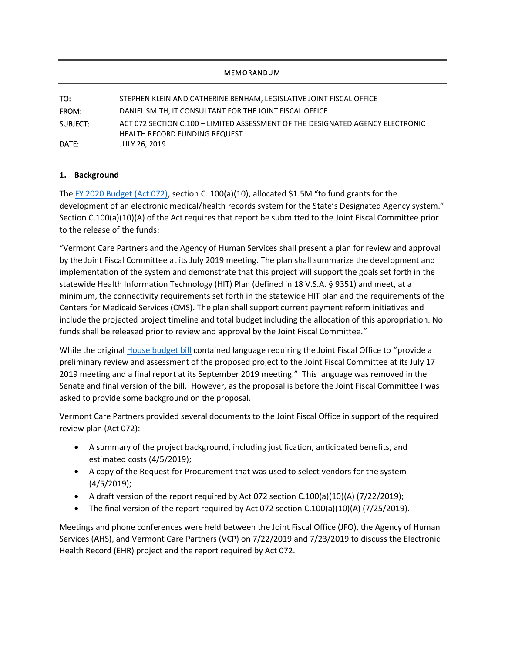## **MEMORANDUM**

| TO:      | STEPHEN KLEIN AND CATHERINE BENHAM, LEGISLATIVE JOINT FISCAL OFFICE                                                    |
|----------|------------------------------------------------------------------------------------------------------------------------|
| FROM:    | DANIEL SMITH, IT CONSULTANT FOR THE JOINT FISCAL OFFICE                                                                |
| SUBJECT: | ACT 072 SECTION C.100 - LIMITED ASSESSMENT OF THE DESIGNATED AGENCY ELECTRONIC<br><b>HEALTH RECORD FUNDING REQUEST</b> |
| DATE:    | <b>JULY 26, 2019</b>                                                                                                   |

## **1. Background**

The [FY 2020 Budget \(Act 072\),](https://legislature.vermont.gov/Documents/2020/Docs/ACTS/ACT072/ACT072%20As%20Enacted.pdf) section C. 100(a)(10), allocated \$1.5M "to fund grants for the development of an electronic medical/health records system for the State's Designated Agency system." Section C.100(a)(10)(A) of the Act requires that report be submitted to the Joint Fiscal Committee prior to the release of the funds:

"Vermont Care Partners and the Agency of Human Services shall present a plan for review and approval by the Joint Fiscal Committee at its July 2019 meeting. The plan shall summarize the development and implementation of the system and demonstrate that this project will support the goals set forth in the statewide Health Information Technology (HIT) Plan (defined in 18 V.S.A. § 9351) and meet, at a minimum, the connectivity requirements set forth in the statewide HIT plan and the requirements of the Centers for Medicaid Services (CMS). The plan shall support current payment reform initiatives and include the projected project timeline and total budget including the allocation of this appropriation. No funds shall be released prior to review and approval by the Joint Fiscal Committee."

While the original **House budget bill** contained language requiring the Joint Fiscal Office to "provide a preliminary review and assessment of the proposed project to the Joint Fiscal Committee at its July 17 2019 meeting and a final report at its September 2019 meeting." This language was removed in the Senate and final version of the bill. However, as the proposal is before the Joint Fiscal Committee I was asked to provide some background on the proposal.

Vermont Care Partners provided several documents to the Joint Fiscal Office in support of the required review plan (Act 072):

- A summary of the project background, including justification, anticipated benefits, and estimated costs (4/5/2019);
- A copy of the Request for Procurement that was used to select vendors for the system (4/5/2019);
- A draft version of the report required by Act 072 section  $C.100(a)(10)(A)$  (7/22/2019);
- The final version of the report required by Act 072 section  $C.100(a)(10)(A)$  (7/25/2019).

Meetings and phone conferences were held between the Joint Fiscal Office (JFO), the Agency of Human Services (AHS), and Vermont Care Partners (VCP) on 7/22/2019 and 7/23/2019 to discuss the Electronic Health Record (EHR) project and the report required by Act 072.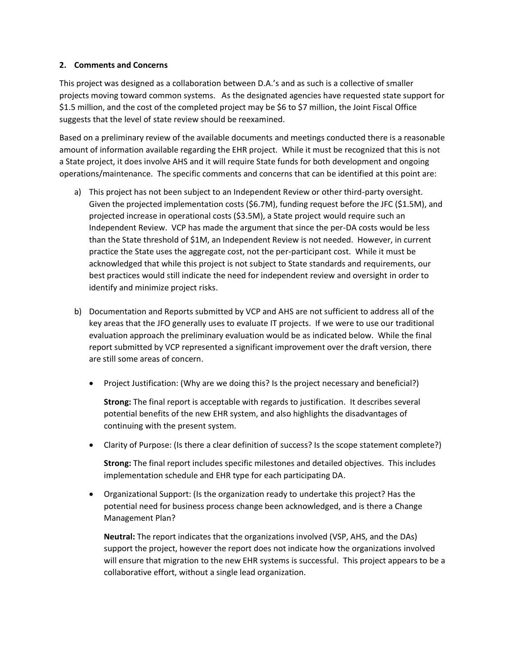## **2. Comments and Concerns**

This project was designed as a collaboration between D.A.'s and as such is a collective of smaller projects moving toward common systems. As the designated agencies have requested state support for \$1.5 million, and the cost of the completed project may be \$6 to \$7 million, the Joint Fiscal Office suggests that the level of state review should be reexamined.

Based on a preliminary review of the available documents and meetings conducted there is a reasonable amount of information available regarding the EHR project. While it must be recognized that this is not a State project, it does involve AHS and it will require State funds for both development and ongoing operations/maintenance. The specific comments and concerns that can be identified at this point are:

- a) This project has not been subject to an Independent Review or other third-party oversight. Given the projected implementation costs (\$6.7M), funding request before the JFC (\$1.5M), and projected increase in operational costs (\$3.5M), a State project would require such an Independent Review. VCP has made the argument that since the per-DA costs would be less than the State threshold of \$1M, an Independent Review is not needed. However, in current practice the State uses the aggregate cost, not the per-participant cost. While it must be acknowledged that while this project is not subject to State standards and requirements, our best practices would still indicate the need for independent review and oversight in order to identify and minimize project risks.
- b) Documentation and Reports submitted by VCP and AHS are not sufficient to address all of the key areas that the JFO generally uses to evaluate IT projects. If we were to use our traditional evaluation approach the preliminary evaluation would be as indicated below. While the final report submitted by VCP represented a significant improvement over the draft version, there are still some areas of concern.
	- Project Justification: (Why are we doing this? Is the project necessary and beneficial?)

**Strong:** The final report is acceptable with regards to justification. It describes several potential benefits of the new EHR system, and also highlights the disadvantages of continuing with the present system.

Clarity of Purpose: (Is there a clear definition of success? Is the scope statement complete?)

**Strong:** The final report includes specific milestones and detailed objectives. This includes implementation schedule and EHR type for each participating DA.

 Organizational Support: (Is the organization ready to undertake this project? Has the potential need for business process change been acknowledged, and is there a Change Management Plan?

**Neutral:** The report indicates that the organizations involved (VSP, AHS, and the DAs) support the project, however the report does not indicate how the organizations involved will ensure that migration to the new EHR systems is successful. This project appears to be a collaborative effort, without a single lead organization.